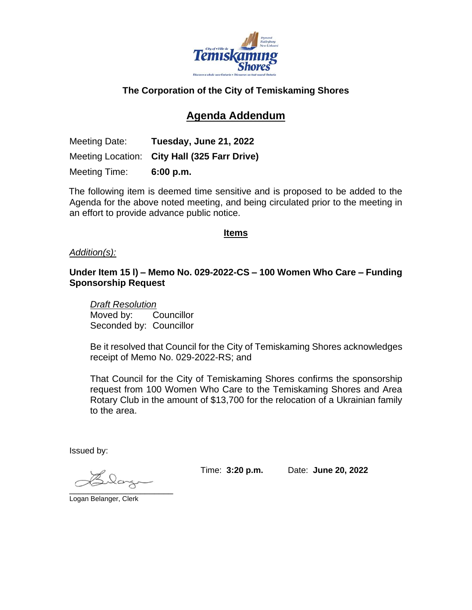

## **The Corporation of the City of Temiskaming Shores**

# **Agenda Addendum**

Meeting Date: **Tuesday, June 21, 2022** Meeting Location: **City Hall (325 Farr Drive)** Meeting Time: **6:00 p.m.**

The following item is deemed time sensitive and is proposed to be added to the Agenda for the above noted meeting, and being circulated prior to the meeting in an effort to provide advance public notice.

#### **Items**

#### *Addition(s):*

### **Under Item 15 l) – Memo No. 029-2022-CS – 100 Women Who Care – Funding Sponsorship Request**

*Draft Resolution* Moved by: Councillor Seconded by: Councillor

Be it resolved that Council for the City of Temiskaming Shores acknowledges receipt of Memo No. 029-2022-RS; and

That Council for the City of Temiskaming Shores confirms the sponsorship request from 100 Women Who Care to the Temiskaming Shores and Area Rotary Club in the amount of \$13,700 for the relocation of a Ukrainian family to the area.

Issued by:

 $\overline{\phantom{a}}$ 

Time: **3:20 p.m.** Date: **June 20, 2022**

Logan Belanger, Clerk